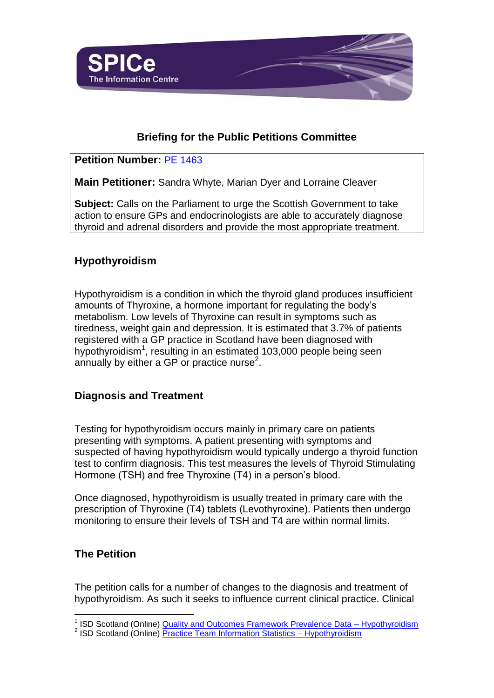

# **Briefing for the Public Petitions Committee**

### **Petition Number:** [PE 1463](http://scottish.parliament.uk/GettingInvolved/Petitions/PE01463)

**Main Petitioner:** Sandra Whyte, Marian Dyer and Lorraine Cleaver

**Subject:** Calls on the Parliament to urge the Scottish Government to take action to ensure GPs and endocrinologists are able to accurately diagnose thyroid and adrenal disorders and provide the most appropriate treatment.

# **Hypothyroidism**

Hypothyroidism is a condition in which the thyroid gland produces insufficient amounts of Thyroxine, a hormone important for regulating the body's metabolism. Low levels of Thyroxine can result in symptoms such as tiredness, weight gain and depression. It is estimated that 3.7% of patients registered with a GP practice in Scotland have been diagnosed with hypothyroidism<sup>1</sup>, resulting in an estimated 103,000 people being seen annually by either a GP or practice nurse<sup>2</sup>.

## **Diagnosis and Treatment**

Testing for hypothyroidism occurs mainly in primary care on patients presenting with symptoms. A patient presenting with symptoms and suspected of having hypothyroidism would typically undergo a thyroid function test to confirm diagnosis. This test measures the levels of Thyroid Stimulating Hormone (TSH) and free Thyroxine (T4) in a person's blood.

Once diagnosed, hypothyroidism is usually treated in primary care with the prescription of Thyroxine (T4) tablets (Levothyroxine). Patients then undergo monitoring to ensure their levels of TSH and T4 are within normal limits.

### **The Petition**

l

The petition calls for a number of changes to the diagnosis and treatment of hypothyroidism. As such it seeks to influence current clinical practice. Clinical

<sup>&</sup>lt;sup>1</sup> ISD Scotland (Online) **Quality and Outcomes Framework Prevalence Data - Hypothyroidism** 

<sup>&</sup>lt;sup>2</sup> ISD Scotland (Online) **Practice Team Information Statistics - Hypothyroidism**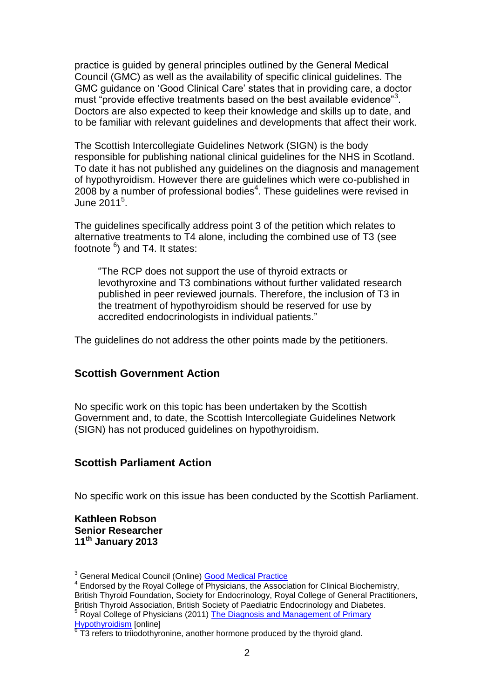practice is guided by general principles outlined by the General Medical Council (GMC) as well as the availability of specific clinical guidelines. The GMC guidance on 'Good Clinical Care' states that in providing care, a doctor must "provide effective treatments based on the best available evidence"<sup>3</sup>. Doctors are also expected to keep their knowledge and skills up to date, and to be familiar with relevant guidelines and developments that affect their work.

The Scottish Intercollegiate Guidelines Network (SIGN) is the body responsible for publishing national clinical guidelines for the NHS in Scotland. To date it has not published any guidelines on the diagnosis and management of hypothyroidism. However there are guidelines which were co-published in  $2008$  by a number of professional bodies<sup>4</sup>. These guidelines were revised in June 2011<sup>5</sup>.

The guidelines specifically address point 3 of the petition which relates to alternative treatments to T4 alone, including the combined use of T3 (see footnote <sup>6</sup>) and T4. It states:

"The RCP does not support the use of thyroid extracts or levothyroxine and T3 combinations without further validated research published in peer reviewed journals. Therefore, the inclusion of T3 in the treatment of hypothyroidism should be reserved for use by accredited endocrinologists in individual patients."

The guidelines do not address the other points made by the petitioners.

#### **Scottish Government Action**

No specific work on this topic has been undertaken by the Scottish Government and, to date, the Scottish Intercollegiate Guidelines Network (SIGN) has not produced guidelines on hypothyroidism.

### **Scottish Parliament Action**

No specific work on this issue has been conducted by the Scottish Parliament.

#### **Kathleen Robson Senior Researcher 11th January 2013**

l

5 Royal College of Physicians (2011) The Diagnosis and Management of Primary

<sup>&</sup>lt;sup>3</sup> General Medical Council (Online) **Good Medical Practice** 

<sup>&</sup>lt;sup>4</sup> Endorsed by the Royal College of Physicians, the Association for Clinical Biochemistry, British Thyroid Foundation, Society for Endocrinology, Royal College of General Practitioners, British Thyroid Association, British Society of Paediatric Endocrinology and Diabetes.

<sup>&</sup>lt;u>[Hypothyroidism](http://www.rcplondon.ac.uk/sites/default/files/the-diagnosis-and-management-of-primary-hypothyroidism-revised-statement-14-june-2011_2.pdf)</u> [online]<br><sup>6</sup> T3 refers to triiodothyronine, another hormone produced by the thyroid gland.